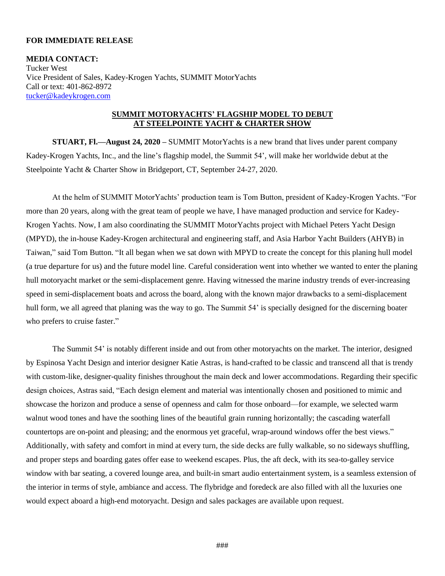## **FOR IMMEDIATE RELEASE**

**MEDIA CONTACT:** Tucker West Vice President of Sales, Kadey-Krogen Yachts, SUMMIT MotorYachts Call or text: 401-862-8972 [tucker@kadeykrogen.com](mailto:tucker@kadeykrogen.com)

## **SUMMIT MOTORYACHTS' FLAGSHIP MODEL TO DEBUT AT STEELPOINTE YACHT & CHARTER SHOW**

**STUART, Fl.—August 24, 2020 –** SUMMIT MotorYachts is a new brand that lives under parent company Kadey-Krogen Yachts, Inc., and the line's flagship model, the Summit 54', will make her worldwide debut at the Steelpointe Yacht & Charter Show in Bridgeport, CT, September 24-27, 2020.

At the helm of SUMMIT MotorYachts' production team is Tom Button, president of Kadey-Krogen Yachts. "For more than 20 years, along with the great team of people we have, I have managed production and service for Kadey-Krogen Yachts. Now, I am also coordinating the SUMMIT MotorYachts project with Michael Peters Yacht Design (MPYD), the in-house Kadey-Krogen architectural and engineering staff, and Asia Harbor Yacht Builders (AHYB) in Taiwan," said Tom Button. "It all began when we sat down with MPYD to create the concept for this planing hull model (a true departure for us) and the future model line. Careful consideration went into whether we wanted to enter the planing hull motoryacht market or the semi-displacement genre. Having witnessed the marine industry trends of ever-increasing speed in semi-displacement boats and across the board, along with the known major drawbacks to a semi-displacement hull form, we all agreed that planing was the way to go. The Summit 54' is specially designed for the discerning boater who prefers to cruise faster."

The Summit 54' is notably different inside and out from other motoryachts on the market. The interior, designed by Espinosa Yacht Design and interior designer Katie Astras, is hand-crafted to be classic and transcend all that is trendy with custom-like, designer-quality finishes throughout the main deck and lower accommodations. Regarding their specific design choices, Astras said, "Each design element and material was intentionally chosen and positioned to mimic and showcase the horizon and produce a sense of openness and calm for those onboard—for example, we selected warm walnut wood tones and have the soothing lines of the beautiful grain running horizontally; the cascading waterfall countertops are on-point and pleasing; and the enormous yet graceful, wrap-around windows offer the best views." Additionally, with safety and comfort in mind at every turn, the side decks are fully walkable, so no sideways shuffling, and proper steps and boarding gates offer ease to weekend escapes. Plus, the aft deck, with its sea-to-galley service window with bar seating, a covered lounge area, and built-in smart audio entertainment system, is a seamless extension of the interior in terms of style, ambiance and access. The flybridge and foredeck are also filled with all the luxuries one would expect aboard a high-end motoryacht. Design and sales packages are available upon request.